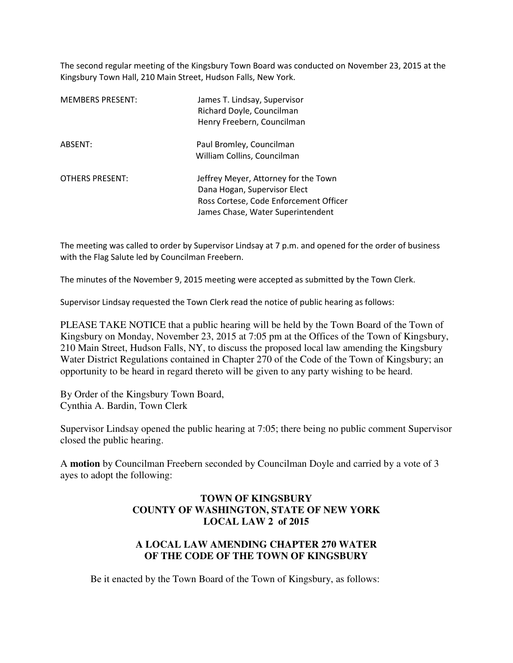The second regular meeting of the Kingsbury Town Board was conducted on November 23, 2015 at the Kingsbury Town Hall, 210 Main Street, Hudson Falls, New York.

| <b>MEMBERS PRESENT:</b> | James T. Lindsay, Supervisor<br>Richard Doyle, Councilman<br>Henry Freebern, Councilman                                                             |
|-------------------------|-----------------------------------------------------------------------------------------------------------------------------------------------------|
| ABSENT:                 | Paul Bromley, Councilman<br>William Collins, Councilman                                                                                             |
| <b>OTHERS PRESENT:</b>  | Jeffrey Meyer, Attorney for the Town<br>Dana Hogan, Supervisor Elect<br>Ross Cortese, Code Enforcement Officer<br>James Chase, Water Superintendent |

The meeting was called to order by Supervisor Lindsay at 7 p.m. and opened for the order of business with the Flag Salute led by Councilman Freebern.

The minutes of the November 9, 2015 meeting were accepted as submitted by the Town Clerk.

Supervisor Lindsay requested the Town Clerk read the notice of public hearing as follows:

PLEASE TAKE NOTICE that a public hearing will be held by the Town Board of the Town of Kingsbury on Monday, November 23, 2015 at 7:05 pm at the Offices of the Town of Kingsbury, 210 Main Street, Hudson Falls, NY, to discuss the proposed local law amending the Kingsbury Water District Regulations contained in Chapter 270 of the Code of the Town of Kingsbury; an opportunity to be heard in regard thereto will be given to any party wishing to be heard.

By Order of the Kingsbury Town Board, Cynthia A. Bardin, Town Clerk

Supervisor Lindsay opened the public hearing at 7:05; there being no public comment Supervisor closed the public hearing.

A **motion** by Councilman Freebern seconded by Councilman Doyle and carried by a vote of 3 ayes to adopt the following:

#### **TOWN OF KINGSBURY COUNTY OF WASHINGTON, STATE OF NEW YORK LOCAL LAW 2 of 2015**

## **A LOCAL LAW AMENDING CHAPTER 270 WATER OF THE CODE OF THE TOWN OF KINGSBURY**

Be it enacted by the Town Board of the Town of Kingsbury, as follows: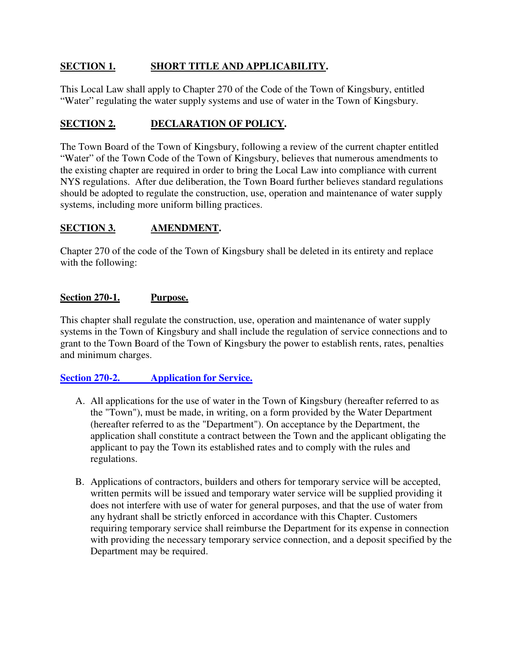## **SECTION 1. SHORT TITLE AND APPLICABILITY.**

This Local Law shall apply to Chapter 270 of the Code of the Town of Kingsbury, entitled "Water" regulating the water supply systems and use of water in the Town of Kingsbury.

## **SECTION 2. DECLARATION OF POLICY.**

The Town Board of the Town of Kingsbury, following a review of the current chapter entitled "Water" of the Town Code of the Town of Kingsbury, believes that numerous amendments to the existing chapter are required in order to bring the Local Law into compliance with current NYS regulations. After due deliberation, the Town Board further believes standard regulations should be adopted to regulate the construction, use, operation and maintenance of water supply systems, including more uniform billing practices.

## **SECTION 3. AMENDMENT.**

Chapter 270 of the code of the Town of Kingsbury shall be deleted in its entirety and replace with the following:

## **Section 270-1. Purpose.**

This chapter shall regulate the construction, use, operation and maintenance of water supply systems in the Town of Kingsbury and shall include the regulation of service connections and to grant to the Town Board of the Town of Kingsbury the power to establish rents, rates, penalties and minimum charges.

## **Section 270-2. Application for Service.**

- A. All applications for the use of water in the Town of Kingsbury (hereafter referred to as the "Town"), must be made, in writing, on a form provided by the Water Department (hereafter referred to as the "Department"). On acceptance by the Department, the application shall constitute a contract between the Town and the applicant obligating the applicant to pay the Town its established rates and to comply with the rules and regulations.
- B. Applications of contractors, builders and others for temporary service will be accepted, written permits will be issued and temporary water service will be supplied providing it does not interfere with use of water for general purposes, and that the use of water from any hydrant shall be strictly enforced in accordance with this Chapter. Customers requiring temporary service shall reimburse the Department for its expense in connection with providing the necessary temporary service connection, and a deposit specified by the Department may be required.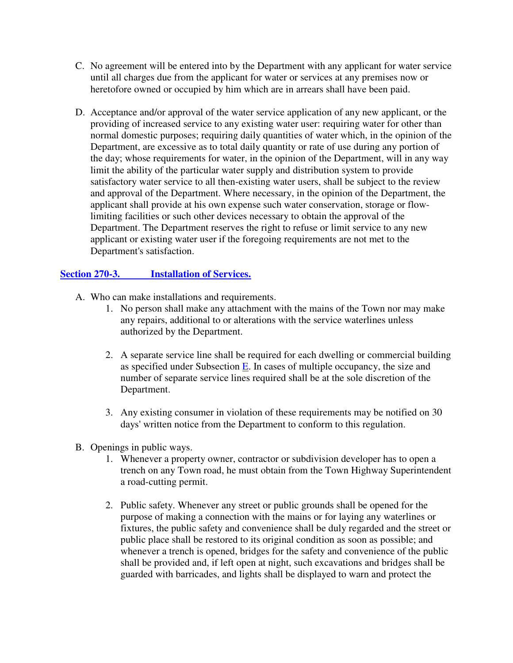- C. No agreement will be entered into by the Department with any applicant for water service until all charges due from the applicant for water or services at any premises now or heretofore owned or occupied by him which are in arrears shall have been paid.
- D. Acceptance and/or approval of the water service application of any new applicant, or the providing of increased service to any existing water user: requiring water for other than normal domestic purposes; requiring daily quantities of water which, in the opinion of the Department, are excessive as to total daily quantity or rate of use during any portion of the day; whose requirements for water, in the opinion of the Department, will in any way limit the ability of the particular water supply and distribution system to provide satisfactory water service to all then-existing water users, shall be subject to the review and approval of the Department. Where necessary, in the opinion of the Department, the applicant shall provide at his own expense such water conservation, storage or flowlimiting facilities or such other devices necessary to obtain the approval of the Department. The Department reserves the right to refuse or limit service to any new applicant or existing water user if the foregoing requirements are not met to the Department's satisfaction.

## **Section 270-3. Installation of Services.**

- A. Who can make installations and requirements.
	- 1. No person shall make any attachment with the mains of the Town nor may make any repairs, additional to or alterations with the service waterlines unless authorized by the Department.
	- 2. A separate service line shall be required for each dwelling or commercial building as specified under Subsection  $E$ . In cases of multiple occupancy, the size and number of separate service lines required shall be at the sole discretion of the Department.
	- 3. Any existing consumer in violation of these requirements may be notified on 30 days' written notice from the Department to conform to this regulation.
- B. Openings in public ways.
	- 1. Whenever a property owner, contractor or subdivision developer has to open a trench on any Town road, he must obtain from the Town Highway Superintendent a road-cutting permit.
	- 2. Public safety. Whenever any street or public grounds shall be opened for the purpose of making a connection with the mains or for laying any waterlines or fixtures, the public safety and convenience shall be duly regarded and the street or public place shall be restored to its original condition as soon as possible; and whenever a trench is opened, bridges for the safety and convenience of the public shall be provided and, if left open at night, such excavations and bridges shall be guarded with barricades, and lights shall be displayed to warn and protect the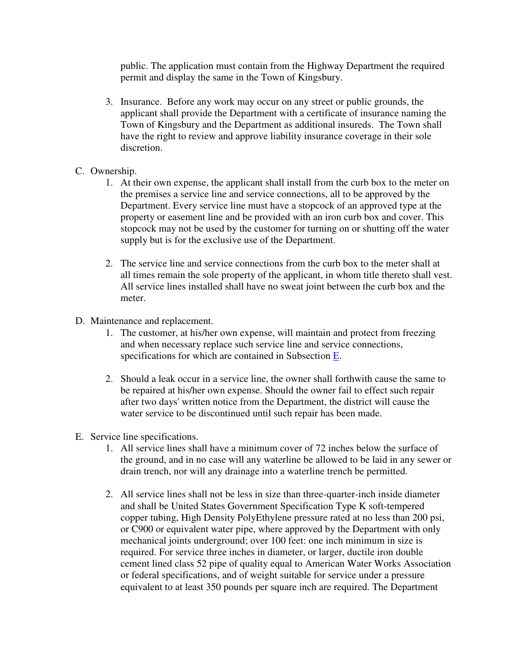public. The application must contain from the Highway Department the required permit and display the same in the Town of Kingsbury.

- 3. Insurance. Before any work may occur on any street or public grounds, the applicant shall provide the Department with a certificate of insurance naming the Town of Kingsbury and the Department as additional insureds. The Town shall have the right to review and approve liability insurance coverage in their sole discretion.
- C. Ownership.
	- 1. At their own expense, the applicant shall install from the curb box to the meter on the premises a service line and service connections, all to be approved by the Department. Every service line must have a stopcock of an approved type at the property or easement line and be provided with an iron curb box and cover. This stopcock may not be used by the customer for turning on or shutting off the water supply but is for the exclusive use of the Department.
	- 2. The service line and service connections from the curb box to the meter shall at all times remain the sole property of the applicant, in whom title thereto shall vest. All service lines installed shall have no sweat joint between the curb box and the meter.
- D. Maintenance and replacement.
	- 1. The customer, at his/her own expense, will maintain and protect from freezing and when necessary replace such service line and service connections, specifications for which are contained in Subsection E.
	- 2. Should a leak occur in a service line, the owner shall forthwith cause the same to be repaired at his/her own expense. Should the owner fail to effect such repair after two days' written notice from the Department, the district will cause the water service to be discontinued until such repair has been made.
- E. Service line specifications.
	- 1. All service lines shall have a minimum cover of 72 inches below the surface of the ground, and in no case will any waterline be allowed to be laid in any sewer or drain trench, nor will any drainage into a waterline trench be permitted.
	- 2. All service lines shall not be less in size than three-quarter-inch inside diameter and shall be United States Government Specification Type K soft-tempered copper tubing, High Density PolyEthylene pressure rated at no less than 200 psi, or C900 or equivalent water pipe, where approved by the Department with only mechanical joints underground; over 100 feet: one inch minimum in size is required. For service three inches in diameter, or larger, ductile iron double cement lined class 52 pipe of quality equal to American Water Works Association or federal specifications, and of weight suitable for service under a pressure equivalent to at least 350 pounds per square inch are required. The Department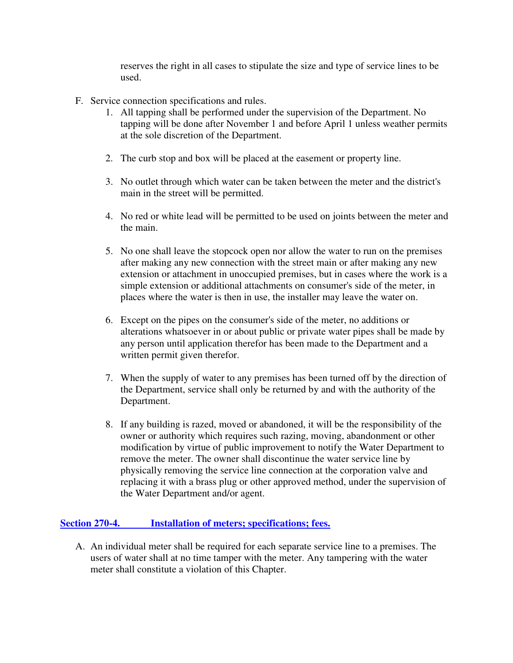reserves the right in all cases to stipulate the size and type of service lines to be used.

- F. Service connection specifications and rules.
	- 1. All tapping shall be performed under the supervision of the Department. No tapping will be done after November 1 and before April 1 unless weather permits at the sole discretion of the Department.
	- 2. The curb stop and box will be placed at the easement or property line.
	- 3. No outlet through which water can be taken between the meter and the district's main in the street will be permitted.
	- 4. No red or white lead will be permitted to be used on joints between the meter and the main.
	- 5. No one shall leave the stopcock open nor allow the water to run on the premises after making any new connection with the street main or after making any new extension or attachment in unoccupied premises, but in cases where the work is a simple extension or additional attachments on consumer's side of the meter, in places where the water is then in use, the installer may leave the water on.
	- 6. Except on the pipes on the consumer's side of the meter, no additions or alterations whatsoever in or about public or private water pipes shall be made by any person until application therefor has been made to the Department and a written permit given therefor.
	- 7. When the supply of water to any premises has been turned off by the direction of the Department, service shall only be returned by and with the authority of the Department.
	- 8. If any building is razed, moved or abandoned, it will be the responsibility of the owner or authority which requires such razing, moving, abandonment or other modification by virtue of public improvement to notify the Water Department to remove the meter. The owner shall discontinue the water service line by physically removing the service line connection at the corporation valve and replacing it with a brass plug or other approved method, under the supervision of the Water Department and/or agent.

## **Section 270-4. Installation of meters; specifications; fees.**

A. An individual meter shall be required for each separate service line to a premises. The users of water shall at no time tamper with the meter. Any tampering with the water meter shall constitute a violation of this Chapter.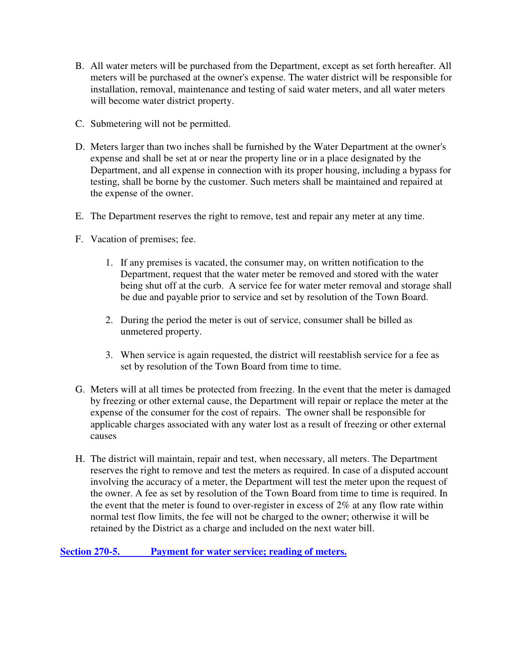- B. All water meters will be purchased from the Department, except as set forth hereafter. All meters will be purchased at the owner's expense. The water district will be responsible for installation, removal, maintenance and testing of said water meters, and all water meters will become water district property.
- C. Submetering will not be permitted.
- D. Meters larger than two inches shall be furnished by the Water Department at the owner's expense and shall be set at or near the property line or in a place designated by the Department, and all expense in connection with its proper housing, including a bypass for testing, shall be borne by the customer. Such meters shall be maintained and repaired at the expense of the owner.
- E. The Department reserves the right to remove, test and repair any meter at any time.
- F. Vacation of premises; fee.
	- 1. If any premises is vacated, the consumer may, on written notification to the Department, request that the water meter be removed and stored with the water being shut off at the curb. A service fee for water meter removal and storage shall be due and payable prior to service and set by resolution of the Town Board.
	- 2. During the period the meter is out of service, consumer shall be billed as unmetered property.
	- 3. When service is again requested, the district will reestablish service for a fee as set by resolution of the Town Board from time to time.
- G. Meters will at all times be protected from freezing. In the event that the meter is damaged by freezing or other external cause, the Department will repair or replace the meter at the expense of the consumer for the cost of repairs. The owner shall be responsible for applicable charges associated with any water lost as a result of freezing or other external causes
- H. The district will maintain, repair and test, when necessary, all meters. The Department reserves the right to remove and test the meters as required. In case of a disputed account involving the accuracy of a meter, the Department will test the meter upon the request of the owner. A fee as set by resolution of the Town Board from time to time is required. In the event that the meter is found to over-register in excess of 2% at any flow rate within normal test flow limits, the fee will not be charged to the owner; otherwise it will be retained by the District as a charge and included on the next water bill.

**Section 270-5. Payment for water service; reading of meters.**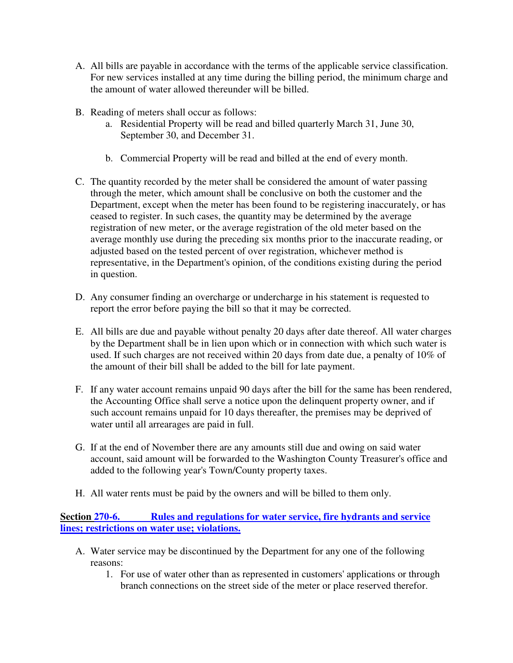- A. All bills are payable in accordance with the terms of the applicable service classification. For new services installed at any time during the billing period, the minimum charge and the amount of water allowed thereunder will be billed.
- B. Reading of meters shall occur as follows:
	- a. Residential Property will be read and billed quarterly March 31, June 30, September 30, and December 31.
	- b. Commercial Property will be read and billed at the end of every month.
- C. The quantity recorded by the meter shall be considered the amount of water passing through the meter, which amount shall be conclusive on both the customer and the Department, except when the meter has been found to be registering inaccurately, or has ceased to register. In such cases, the quantity may be determined by the average registration of new meter, or the average registration of the old meter based on the average monthly use during the preceding six months prior to the inaccurate reading, or adjusted based on the tested percent of over registration, whichever method is representative, in the Department's opinion, of the conditions existing during the period in question.
- D. Any consumer finding an overcharge or undercharge in his statement is requested to report the error before paying the bill so that it may be corrected.
- E. All bills are due and payable without penalty 20 days after date thereof. All water charges by the Department shall be in lien upon which or in connection with which such water is used. If such charges are not received within 20 days from date due, a penalty of 10% of the amount of their bill shall be added to the bill for late payment.
- F. If any water account remains unpaid 90 days after the bill for the same has been rendered, the Accounting Office shall serve a notice upon the delinquent property owner, and if such account remains unpaid for 10 days thereafter, the premises may be deprived of water until all arrearages are paid in full.
- G. If at the end of November there are any amounts still due and owing on said water account, said amount will be forwarded to the Washington County Treasurer's office and added to the following year's Town/County property taxes.
- H. All water rents must be paid by the owners and will be billed to them only.

**Section 270-6. Rules and regulations for water service, fire hydrants and service lines; restrictions on water use; violations.** 

- A. Water service may be discontinued by the Department for any one of the following reasons:
	- 1. For use of water other than as represented in customers' applications or through branch connections on the street side of the meter or place reserved therefor.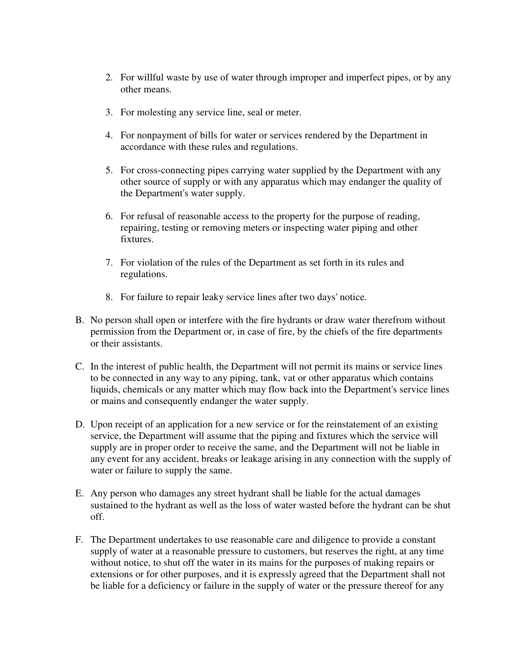- 2. For willful waste by use of water through improper and imperfect pipes, or by any other means.
- 3. For molesting any service line, seal or meter.
- 4. For nonpayment of bills for water or services rendered by the Department in accordance with these rules and regulations.
- 5. For cross-connecting pipes carrying water supplied by the Department with any other source of supply or with any apparatus which may endanger the quality of the Department's water supply.
- 6. For refusal of reasonable access to the property for the purpose of reading, repairing, testing or removing meters or inspecting water piping and other fixtures.
- 7. For violation of the rules of the Department as set forth in its rules and regulations.
- 8. For failure to repair leaky service lines after two days' notice.
- B. No person shall open or interfere with the fire hydrants or draw water therefrom without permission from the Department or, in case of fire, by the chiefs of the fire departments or their assistants.
- C. In the interest of public health, the Department will not permit its mains or service lines to be connected in any way to any piping, tank, vat or other apparatus which contains liquids, chemicals or any matter which may flow back into the Department's service lines or mains and consequently endanger the water supply.
- D. Upon receipt of an application for a new service or for the reinstatement of an existing service, the Department will assume that the piping and fixtures which the service will supply are in proper order to receive the same, and the Department will not be liable in any event for any accident, breaks or leakage arising in any connection with the supply of water or failure to supply the same.
- E. Any person who damages any street hydrant shall be liable for the actual damages sustained to the hydrant as well as the loss of water wasted before the hydrant can be shut off.
- F. The Department undertakes to use reasonable care and diligence to provide a constant supply of water at a reasonable pressure to customers, but reserves the right, at any time without notice, to shut off the water in its mains for the purposes of making repairs or extensions or for other purposes, and it is expressly agreed that the Department shall not be liable for a deficiency or failure in the supply of water or the pressure thereof for any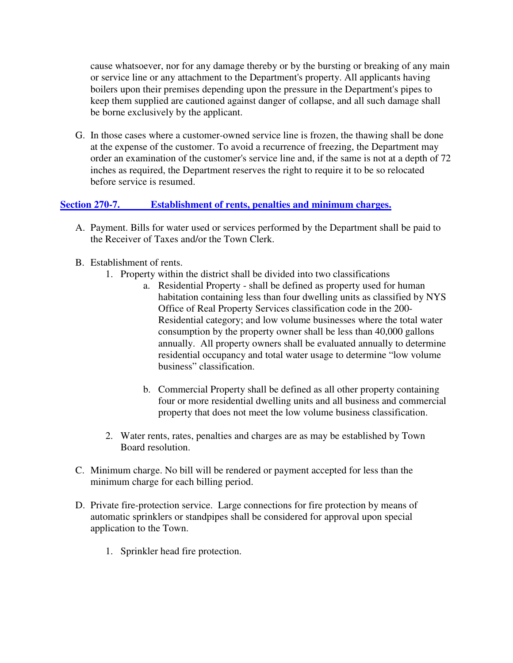cause whatsoever, nor for any damage thereby or by the bursting or breaking of any main or service line or any attachment to the Department's property. All applicants having boilers upon their premises depending upon the pressure in the Department's pipes to keep them supplied are cautioned against danger of collapse, and all such damage shall be borne exclusively by the applicant.

G. In those cases where a customer-owned service line is frozen, the thawing shall be done at the expense of the customer. To avoid a recurrence of freezing, the Department may order an examination of the customer's service line and, if the same is not at a depth of 72 inches as required, the Department reserves the right to require it to be so relocated before service is resumed.

## **Section 270-7. Establishment of rents, penalties and minimum charges.**

- A. Payment. Bills for water used or services performed by the Department shall be paid to the Receiver of Taxes and/or the Town Clerk.
- B. Establishment of rents.
	- 1. Property within the district shall be divided into two classifications
		- a. Residential Property shall be defined as property used for human habitation containing less than four dwelling units as classified by NYS Office of Real Property Services classification code in the 200- Residential category; and low volume businesses where the total water consumption by the property owner shall be less than 40,000 gallons annually. All property owners shall be evaluated annually to determine residential occupancy and total water usage to determine "low volume business" classification.
		- b. Commercial Property shall be defined as all other property containing four or more residential dwelling units and all business and commercial property that does not meet the low volume business classification.
	- 2. Water rents, rates, penalties and charges are as may be established by Town Board resolution.
- C. Minimum charge. No bill will be rendered or payment accepted for less than the minimum charge for each billing period.
- D. Private fire-protection service. Large connections for fire protection by means of automatic sprinklers or standpipes shall be considered for approval upon special application to the Town.
	- 1. Sprinkler head fire protection.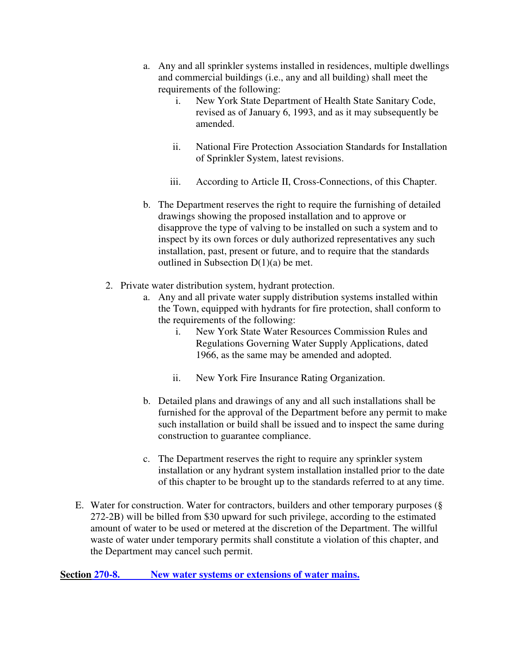- a. Any and all sprinkler systems installed in residences, multiple dwellings and commercial buildings (i.e., any and all building) shall meet the requirements of the following:
	- i. New York State Department of Health State Sanitary Code, revised as of January 6, 1993, and as it may subsequently be amended.
	- ii. National Fire Protection Association Standards for Installation of Sprinkler System, latest revisions.
	- iii. According to Article II, Cross-Connections, of this Chapter.
- b. The Department reserves the right to require the furnishing of detailed drawings showing the proposed installation and to approve or disapprove the type of valving to be installed on such a system and to inspect by its own forces or duly authorized representatives any such installation, past, present or future, and to require that the standards outlined in Subsection  $D(1)(a)$  be met.
- 2. Private water distribution system, hydrant protection.
	- a. Any and all private water supply distribution systems installed within the Town, equipped with hydrants for fire protection, shall conform to the requirements of the following:
		- i. New York State Water Resources Commission Rules and Regulations Governing Water Supply Applications, dated 1966, as the same may be amended and adopted.
		- ii. New York Fire Insurance Rating Organization.
	- b. Detailed plans and drawings of any and all such installations shall be furnished for the approval of the Department before any permit to make such installation or build shall be issued and to inspect the same during construction to guarantee compliance.
	- c. The Department reserves the right to require any sprinkler system installation or any hydrant system installation installed prior to the date of this chapter to be brought up to the standards referred to at any time.
- E. Water for construction. Water for contractors, builders and other temporary purposes (§ 272-2B) will be billed from \$30 upward for such privilege, according to the estimated amount of water to be used or metered at the discretion of the Department. The willful waste of water under temporary permits shall constitute a violation of this chapter, and the Department may cancel such permit.

Section 270-8. New water systems or extensions of water mains.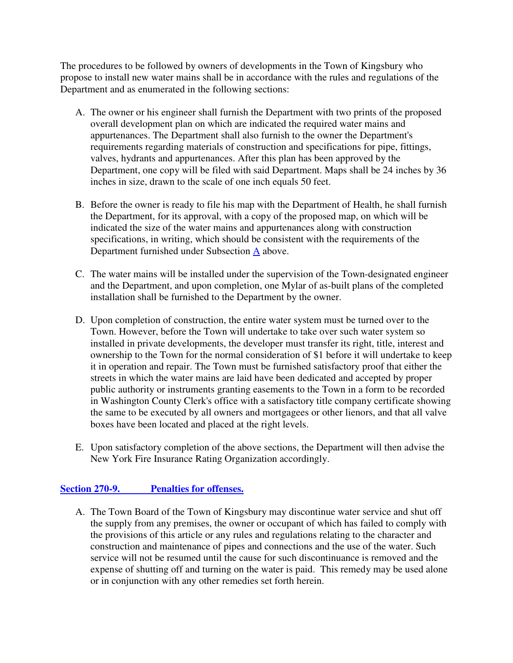The procedures to be followed by owners of developments in the Town of Kingsbury who propose to install new water mains shall be in accordance with the rules and regulations of the Department and as enumerated in the following sections:

- A. The owner or his engineer shall furnish the Department with two prints of the proposed overall development plan on which are indicated the required water mains and appurtenances. The Department shall also furnish to the owner the Department's requirements regarding materials of construction and specifications for pipe, fittings, valves, hydrants and appurtenances. After this plan has been approved by the Department, one copy will be filed with said Department. Maps shall be 24 inches by 36 inches in size, drawn to the scale of one inch equals 50 feet.
- B. Before the owner is ready to file his map with the Department of Health, he shall furnish the Department, for its approval, with a copy of the proposed map, on which will be indicated the size of the water mains and appurtenances along with construction specifications, in writing, which should be consistent with the requirements of the Department furnished under Subsection A above.
- C. The water mains will be installed under the supervision of the Town-designated engineer and the Department, and upon completion, one Mylar of as-built plans of the completed installation shall be furnished to the Department by the owner.
- D. Upon completion of construction, the entire water system must be turned over to the Town. However, before the Town will undertake to take over such water system so installed in private developments, the developer must transfer its right, title, interest and ownership to the Town for the normal consideration of \$1 before it will undertake to keep it in operation and repair. The Town must be furnished satisfactory proof that either the streets in which the water mains are laid have been dedicated and accepted by proper public authority or instruments granting easements to the Town in a form to be recorded in Washington County Clerk's office with a satisfactory title company certificate showing the same to be executed by all owners and mortgagees or other lienors, and that all valve boxes have been located and placed at the right levels.
- E. Upon satisfactory completion of the above sections, the Department will then advise the New York Fire Insurance Rating Organization accordingly.

## **Section 270-9. Penalties for offenses.**

A. The Town Board of the Town of Kingsbury may discontinue water service and shut off the supply from any premises, the owner or occupant of which has failed to comply with the provisions of this article or any rules and regulations relating to the character and construction and maintenance of pipes and connections and the use of the water. Such service will not be resumed until the cause for such discontinuance is removed and the expense of shutting off and turning on the water is paid. This remedy may be used alone or in conjunction with any other remedies set forth herein.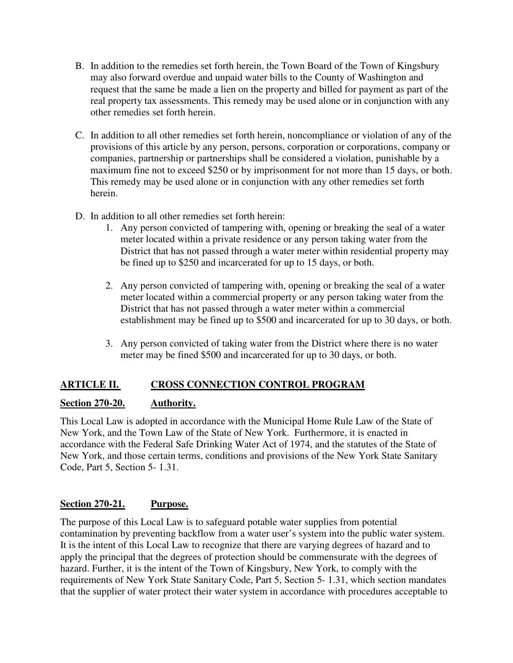- B. In addition to the remedies set forth herein, the Town Board of the Town of Kingsbury may also forward overdue and unpaid water bills to the County of Washington and request that the same be made a lien on the property and billed for payment as part of the real property tax assessments. This remedy may be used alone or in conjunction with any other remedies set forth herein.
- C. In addition to all other remedies set forth herein, noncompliance or violation of any of the provisions of this article by any person, persons, corporation or corporations, company or companies, partnership or partnerships shall be considered a violation, punishable by a maximum fine not to exceed \$250 or by imprisonment for not more than 15 days, or both. This remedy may be used alone or in conjunction with any other remedies set forth herein.
- D. In addition to all other remedies set forth herein:
	- 1. Any person convicted of tampering with, opening or breaking the seal of a water meter located within a private residence or any person taking water from the District that has not passed through a water meter within residential property may be fined up to \$250 and incarcerated for up to 15 days, or both.
	- 2. Any person convicted of tampering with, opening or breaking the seal of a water meter located within a commercial property or any person taking water from the District that has not passed through a water meter within a commercial establishment may be fined up to \$500 and incarcerated for up to 30 days, or both.
	- 3. Any person convicted of taking water from the District where there is no water meter may be fined \$500 and incarcerated for up to 30 days, or both.

# **ARTICLE II. CROSS CONNECTION CONTROL PROGRAM**

# **Section 270-20. Authority.**

This Local Law is adopted in accordance with the Municipal Home Rule Law of the State of New York, and the Town Law of the State of New York. Furthermore, it is enacted in accordance with the Federal Safe Drinking Water Act of 1974, and the statutes of the State of New York, and those certain terms, conditions and provisions of the New York State Sanitary Code, Part 5, Section 5- 1.31.

# **Section 270-21. Purpose.**

The purpose of this Local Law is to safeguard potable water supplies from potential contamination by preventing backflow from a water user's system into the public water system. It is the intent of this Local Law to recognize that there are varying degrees of hazard and to apply the principal that the degrees of protection should be commensurate with the degrees of hazard. Further, it is the intent of the Town of Kingsbury, New York, to comply with the requirements of New York State Sanitary Code, Part 5, Section 5- 1.31, which section mandates that the supplier of water protect their water system in accordance with procedures acceptable to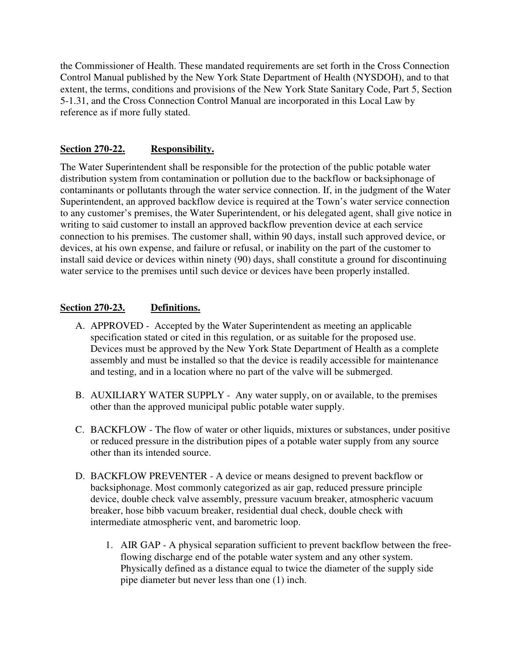the Commissioner of Health. These mandated requirements are set forth in the Cross Connection Control Manual published by the New York State Department of Health (NYSDOH), and to that extent, the terms, conditions and provisions of the New York State Sanitary Code, Part 5, Section 5-1.31, and the Cross Connection Control Manual are incorporated in this Local Law by reference as if more fully stated.

#### **Section 270-22. Responsibility.**

The Water Superintendent shall be responsible for the protection of the public potable water distribution system from contamination or pollution due to the backflow or backsiphonage of contaminants or pollutants through the water service connection. If, in the judgment of the Water Superintendent, an approved backflow device is required at the Town's water service connection to any customer's premises, the Water Superintendent, or his delegated agent, shall give notice in writing to said customer to install an approved backflow prevention device at each service connection to his premises. The customer shall, within 90 days, install such approved device, or devices, at his own expense, and failure or refusal, or inability on the part of the customer to install said device or devices within ninety (90) days, shall constitute a ground for discontinuing water service to the premises until such device or devices have been properly installed.

## **Section 270-23. Definitions.**

- A. APPROVED Accepted by the Water Superintendent as meeting an applicable specification stated or cited in this regulation, or as suitable for the proposed use. Devices must be approved by the New York State Department of Health as a complete assembly and must be installed so that the device is readily accessible for maintenance and testing, and in a location where no part of the valve will be submerged.
- B. AUXILIARY WATER SUPPLY Any water supply, on or available, to the premises other than the approved municipal public potable water supply.
- C. BACKFLOW The flow of water or other liquids, mixtures or substances, under positive or reduced pressure in the distribution pipes of a potable water supply from any source other than its intended source.
- D. BACKFLOW PREVENTER A device or means designed to prevent backflow or backsiphonage. Most commonly categorized as air gap, reduced pressure principle device, double check valve assembly, pressure vacuum breaker, atmospheric vacuum breaker, hose bibb vacuum breaker, residential dual check, double check with intermediate atmospheric vent, and barometric loop.
	- 1. AIR GAP A physical separation sufficient to prevent backflow between the freeflowing discharge end of the potable water system and any other system. Physically defined as a distance equal to twice the diameter of the supply side pipe diameter but never less than one (1) inch.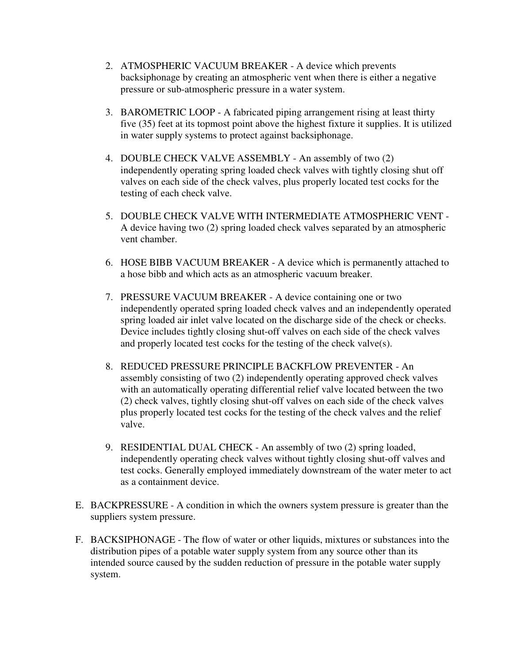- 2. ATMOSPHERIC VACUUM BREAKER A device which prevents backsiphonage by creating an atmospheric vent when there is either a negative pressure or sub-atmospheric pressure in a water system.
- 3. BAROMETRIC LOOP A fabricated piping arrangement rising at least thirty five (35) feet at its topmost point above the highest fixture it supplies. It is utilized in water supply systems to protect against backsiphonage.
- 4. DOUBLE CHECK VALVE ASSEMBLY An assembly of two (2) independently operating spring loaded check valves with tightly closing shut off valves on each side of the check valves, plus properly located test cocks for the testing of each check valve.
- 5. DOUBLE CHECK VALVE WITH INTERMEDIATE ATMOSPHERIC VENT A device having two (2) spring loaded check valves separated by an atmospheric vent chamber.
- 6. HOSE BIBB VACUUM BREAKER A device which is permanently attached to a hose bibb and which acts as an atmospheric vacuum breaker.
- 7. PRESSURE VACUUM BREAKER A device containing one or two independently operated spring loaded check valves and an independently operated spring loaded air inlet valve located on the discharge side of the check or checks. Device includes tightly closing shut-off valves on each side of the check valves and properly located test cocks for the testing of the check valve(s).
- 8. REDUCED PRESSURE PRINCIPLE BACKFLOW PREVENTER An assembly consisting of two (2) independently operating approved check valves with an automatically operating differential relief valve located between the two (2) check valves, tightly closing shut-off valves on each side of the check valves plus properly located test cocks for the testing of the check valves and the relief valve.
- 9. RESIDENTIAL DUAL CHECK An assembly of two (2) spring loaded, independently operating check valves without tightly closing shut-off valves and test cocks. Generally employed immediately downstream of the water meter to act as a containment device.
- E. BACKPRESSURE A condition in which the owners system pressure is greater than the suppliers system pressure.
- F. BACKSIPHONAGE The flow of water or other liquids, mixtures or substances into the distribution pipes of a potable water supply system from any source other than its intended source caused by the sudden reduction of pressure in the potable water supply system.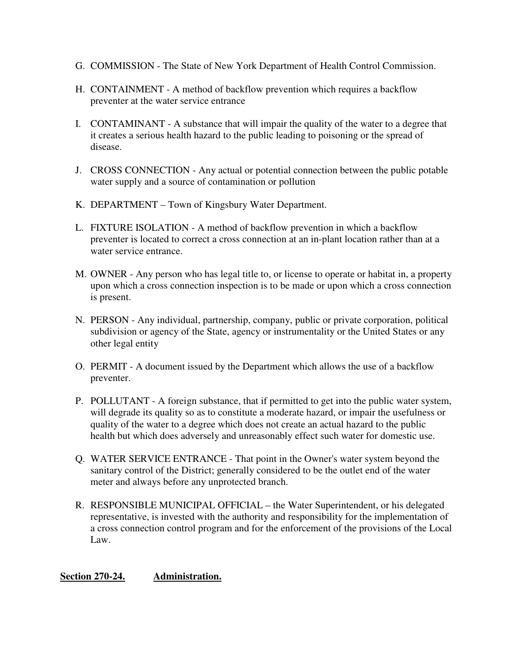- G. COMMISSION The State of New York Department of Health Control Commission.
- H. CONTAINMENT A method of backflow prevention which requires a backflow preventer at the water service entrance
- I. CONTAMINANT A substance that will impair the quality of the water to a degree that it creates a serious health hazard to the public leading to poisoning or the spread of disease.
- J. CROSS CONNECTION Any actual or potential connection between the public potable water supply and a source of contamination or pollution
- K. DEPARTMENT Town of Kingsbury Water Department.
- L. FIXTURE ISOLATION A method of backflow prevention in which a backflow preventer is located to correct a cross connection at an in-plant location rather than at a water service entrance.
- M. OWNER Any person who has legal title to, or license to operate or habitat in, a property upon which a cross connection inspection is to be made or upon which a cross connection is present.
- N. PERSON Any individual, partnership, company, public or private corporation, political subdivision or agency of the State, agency or instrumentality or the United States or any other legal entity
- O. PERMIT A document issued by the Department which allows the use of a backflow preventer.
- P. POLLUTANT A foreign substance, that if permitted to get into the public water system, will degrade its quality so as to constitute a moderate hazard, or impair the usefulness or quality of the water to a degree which does not create an actual hazard to the public health but which does adversely and unreasonably effect such water for domestic use.
- Q. WATER SERVICE ENTRANCE That point in the Owner's water system beyond the sanitary control of the District; generally considered to be the outlet end of the water meter and always before any unprotected branch.
- R. RESPONSIBLE MUNICIPAL OFFICIAL the Water Superintendent, or his delegated representative, is invested with the authority and responsibility for the implementation of a cross connection control program and for the enforcement of the provisions of the Local Law.

## **Section 270-24. Administration.**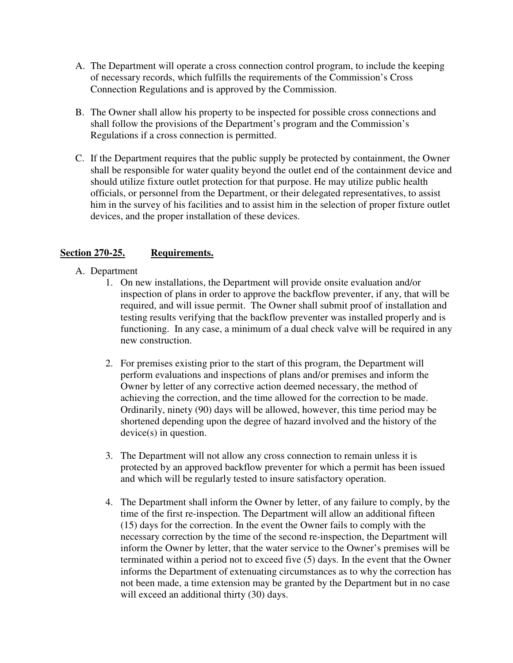- A. The Department will operate a cross connection control program, to include the keeping of necessary records, which fulfills the requirements of the Commission's Cross Connection Regulations and is approved by the Commission.
- B. The Owner shall allow his property to be inspected for possible cross connections and shall follow the provisions of the Department's program and the Commission's Regulations if a cross connection is permitted.
- C. If the Department requires that the public supply be protected by containment, the Owner shall be responsible for water quality beyond the outlet end of the containment device and should utilize fixture outlet protection for that purpose. He may utilize public health officials, or personnel from the Department, or their delegated representatives, to assist him in the survey of his facilities and to assist him in the selection of proper fixture outlet devices, and the proper installation of these devices.

## Section 270-25. Requirements.

- A. Department
	- 1. On new installations, the Department will provide onsite evaluation and/or inspection of plans in order to approve the backflow preventer, if any, that will be required, and will issue permit. The Owner shall submit proof of installation and testing results verifying that the backflow preventer was installed properly and is functioning. In any case, a minimum of a dual check valve will be required in any new construction.
	- 2. For premises existing prior to the start of this program, the Department will perform evaluations and inspections of plans and/or premises and inform the Owner by letter of any corrective action deemed necessary, the method of achieving the correction, and the time allowed for the correction to be made. Ordinarily, ninety (90) days will be allowed, however, this time period may be shortened depending upon the degree of hazard involved and the history of the device(s) in question.
	- 3. The Department will not allow any cross connection to remain unless it is protected by an approved backflow preventer for which a permit has been issued and which will be regularly tested to insure satisfactory operation.
	- 4. The Department shall inform the Owner by letter, of any failure to comply, by the time of the first re-inspection. The Department will allow an additional fifteen (15) days for the correction. In the event the Owner fails to comply with the necessary correction by the time of the second re-inspection, the Department will inform the Owner by letter, that the water service to the Owner's premises will be terminated within a period not to exceed five (5) days. In the event that the Owner informs the Department of extenuating circumstances as to why the correction has not been made, a time extension may be granted by the Department but in no case will exceed an additional thirty (30) days.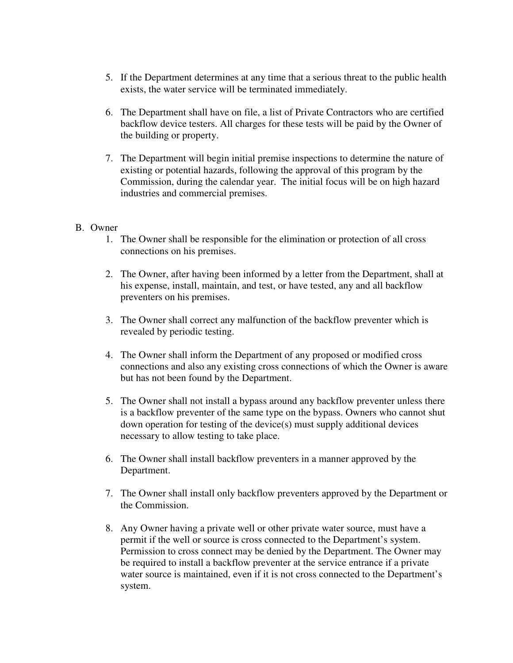- 5. If the Department determines at any time that a serious threat to the public health exists, the water service will be terminated immediately.
- 6. The Department shall have on file, a list of Private Contractors who are certified backflow device testers. All charges for these tests will be paid by the Owner of the building or property.
- 7. The Department will begin initial premise inspections to determine the nature of existing or potential hazards, following the approval of this program by the Commission, during the calendar year. The initial focus will be on high hazard industries and commercial premises.

#### B. Owner

- 1. The Owner shall be responsible for the elimination or protection of all cross connections on his premises.
- 2. The Owner, after having been informed by a letter from the Department, shall at his expense, install, maintain, and test, or have tested, any and all backflow preventers on his premises.
- 3. The Owner shall correct any malfunction of the backflow preventer which is revealed by periodic testing.
- 4. The Owner shall inform the Department of any proposed or modified cross connections and also any existing cross connections of which the Owner is aware but has not been found by the Department.
- 5. The Owner shall not install a bypass around any backflow preventer unless there is a backflow preventer of the same type on the bypass. Owners who cannot shut down operation for testing of the device(s) must supply additional devices necessary to allow testing to take place.
- 6. The Owner shall install backflow preventers in a manner approved by the Department.
- 7. The Owner shall install only backflow preventers approved by the Department or the Commission.
- 8. Any Owner having a private well or other private water source, must have a permit if the well or source is cross connected to the Department's system. Permission to cross connect may be denied by the Department. The Owner may be required to install a backflow preventer at the service entrance if a private water source is maintained, even if it is not cross connected to the Department's system.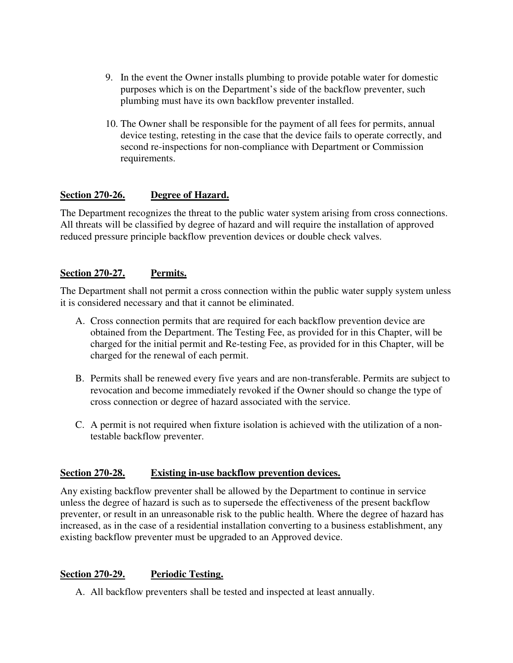- 9. In the event the Owner installs plumbing to provide potable water for domestic purposes which is on the Department's side of the backflow preventer, such plumbing must have its own backflow preventer installed.
- 10. The Owner shall be responsible for the payment of all fees for permits, annual device testing, retesting in the case that the device fails to operate correctly, and second re-inspections for non-compliance with Department or Commission requirements.

## **Section 270-26. Degree of Hazard.**

The Department recognizes the threat to the public water system arising from cross connections. All threats will be classified by degree of hazard and will require the installation of approved reduced pressure principle backflow prevention devices or double check valves.

#### **Section 270-27. Permits.**

The Department shall not permit a cross connection within the public water supply system unless it is considered necessary and that it cannot be eliminated.

- A. Cross connection permits that are required for each backflow prevention device are obtained from the Department. The Testing Fee, as provided for in this Chapter, will be charged for the initial permit and Re-testing Fee, as provided for in this Chapter, will be charged for the renewal of each permit.
- B. Permits shall be renewed every five years and are non-transferable. Permits are subject to revocation and become immediately revoked if the Owner should so change the type of cross connection or degree of hazard associated with the service.
- C. A permit is not required when fixture isolation is achieved with the utilization of a nontestable backflow preventer.

## **Section 270-28. Existing in-use backflow prevention devices.**

Any existing backflow preventer shall be allowed by the Department to continue in service unless the degree of hazard is such as to supersede the effectiveness of the present backflow preventer, or result in an unreasonable risk to the public health. Where the degree of hazard has increased, as in the case of a residential installation converting to a business establishment, any existing backflow preventer must be upgraded to an Approved device.

## **Section 270-29. Periodic Testing.**

A. All backflow preventers shall be tested and inspected at least annually.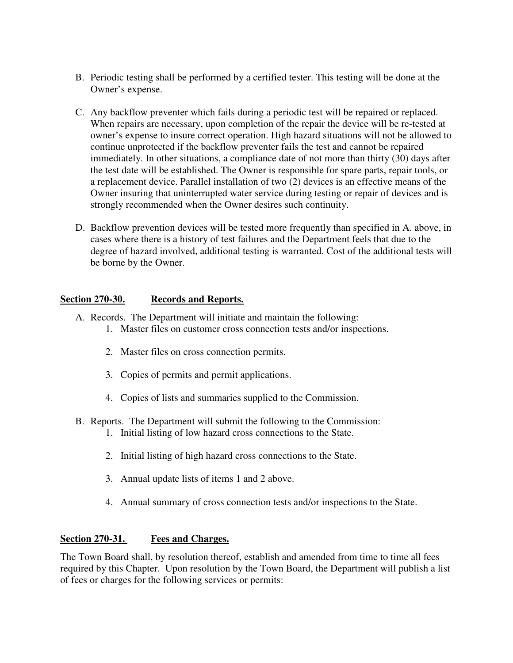- B. Periodic testing shall be performed by a certified tester. This testing will be done at the Owner's expense.
- C. Any backflow preventer which fails during a periodic test will be repaired or replaced. When repairs are necessary, upon completion of the repair the device will be re-tested at owner's expense to insure correct operation. High hazard situations will not be allowed to continue unprotected if the backflow preventer fails the test and cannot be repaired immediately. In other situations, a compliance date of not more than thirty (30) days after the test date will be established. The Owner is responsible for spare parts, repair tools, or a replacement device. Parallel installation of two (2) devices is an effective means of the Owner insuring that uninterrupted water service during testing or repair of devices and is strongly recommended when the Owner desires such continuity.
- D. Backflow prevention devices will be tested more frequently than specified in A. above, in cases where there is a history of test failures and the Department feels that due to the degree of hazard involved, additional testing is warranted. Cost of the additional tests will be borne by the Owner.

## **Section 270-30. Records and Reports.**

- A. Records. The Department will initiate and maintain the following:
	- 1. Master files on customer cross connection tests and/or inspections.
	- 2. Master files on cross connection permits.
	- 3. Copies of permits and permit applications.
	- 4. Copies of lists and summaries supplied to the Commission.
- B. Reports. The Department will submit the following to the Commission:
	- 1. Initial listing of low hazard cross connections to the State.
	- 2. Initial listing of high hazard cross connections to the State.
	- 3. Annual update lists of items 1 and 2 above.
	- 4. Annual summary of cross connection tests and/or inspections to the State.

#### **Section 270-31. Fees and Charges.**

The Town Board shall, by resolution thereof, establish and amended from time to time all fees required by this Chapter. Upon resolution by the Town Board, the Department will publish a list of fees or charges for the following services or permits: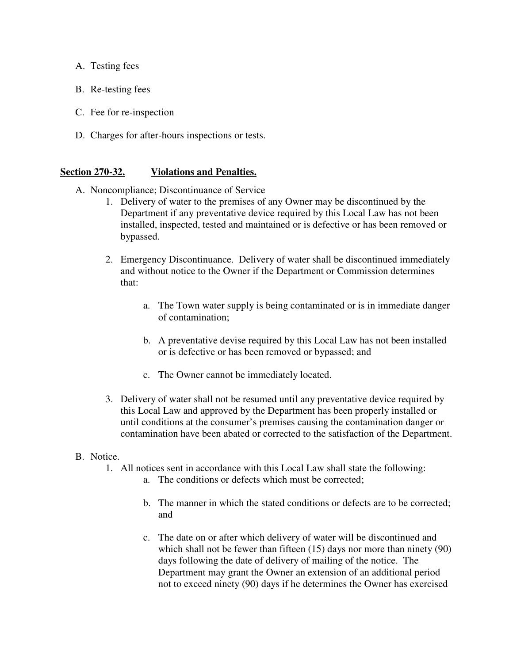- A. Testing fees
- B. Re-testing fees
- C. Fee for re-inspection
- D. Charges for after-hours inspections or tests.

#### **Section 270-32. Violations and Penalties.**

- A. Noncompliance; Discontinuance of Service
	- 1. Delivery of water to the premises of any Owner may be discontinued by the Department if any preventative device required by this Local Law has not been installed, inspected, tested and maintained or is defective or has been removed or bypassed.
	- 2. Emergency Discontinuance. Delivery of water shall be discontinued immediately and without notice to the Owner if the Department or Commission determines that:
		- a. The Town water supply is being contaminated or is in immediate danger of contamination;
		- b. A preventative devise required by this Local Law has not been installed or is defective or has been removed or bypassed; and
		- c. The Owner cannot be immediately located.
	- 3. Delivery of water shall not be resumed until any preventative device required by this Local Law and approved by the Department has been properly installed or until conditions at the consumer's premises causing the contamination danger or contamination have been abated or corrected to the satisfaction of the Department.

#### B. Notice.

- 1. All notices sent in accordance with this Local Law shall state the following:
	- a. The conditions or defects which must be corrected;
	- b. The manner in which the stated conditions or defects are to be corrected; and
	- c. The date on or after which delivery of water will be discontinued and which shall not be fewer than fifteen (15) days nor more than ninety (90) days following the date of delivery of mailing of the notice. The Department may grant the Owner an extension of an additional period not to exceed ninety (90) days if he determines the Owner has exercised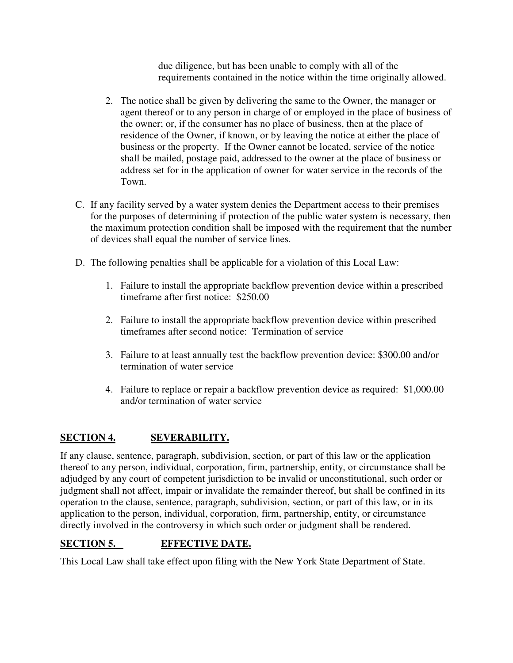due diligence, but has been unable to comply with all of the requirements contained in the notice within the time originally allowed.

- 2. The notice shall be given by delivering the same to the Owner, the manager or agent thereof or to any person in charge of or employed in the place of business of the owner; or, if the consumer has no place of business, then at the place of residence of the Owner, if known, or by leaving the notice at either the place of business or the property. If the Owner cannot be located, service of the notice shall be mailed, postage paid, addressed to the owner at the place of business or address set for in the application of owner for water service in the records of the Town.
- C. If any facility served by a water system denies the Department access to their premises for the purposes of determining if protection of the public water system is necessary, then the maximum protection condition shall be imposed with the requirement that the number of devices shall equal the number of service lines.
- D. The following penalties shall be applicable for a violation of this Local Law:
	- 1. Failure to install the appropriate backflow prevention device within a prescribed timeframe after first notice: \$250.00
	- 2. Failure to install the appropriate backflow prevention device within prescribed timeframes after second notice: Termination of service
	- 3. Failure to at least annually test the backflow prevention device: \$300.00 and/or termination of water service
	- 4. Failure to replace or repair a backflow prevention device as required: \$1,000.00 and/or termination of water service

# **SECTION 4. SEVERABILITY.**

If any clause, sentence, paragraph, subdivision, section, or part of this law or the application thereof to any person, individual, corporation, firm, partnership, entity, or circumstance shall be adjudged by any court of competent jurisdiction to be invalid or unconstitutional, such order or judgment shall not affect, impair or invalidate the remainder thereof, but shall be confined in its operation to the clause, sentence, paragraph, subdivision, section, or part of this law, or in its application to the person, individual, corporation, firm, partnership, entity, or circumstance directly involved in the controversy in which such order or judgment shall be rendered.

# **SECTION 5. EFFECTIVE DATE.**

This Local Law shall take effect upon filing with the New York State Department of State.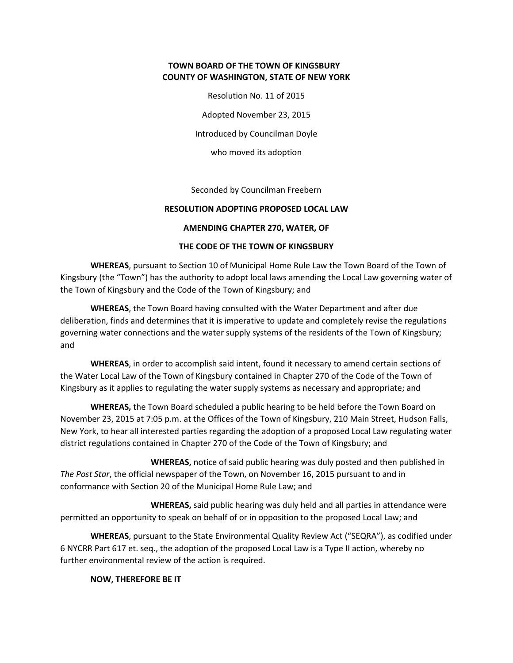#### **TOWN BOARD OF THE TOWN OF KINGSBURY COUNTY OF WASHINGTON, STATE OF NEW YORK**

Resolution No. 11 of 2015

Adopted November 23, 2015

Introduced by Councilman Doyle

who moved its adoption

Seconded by Councilman Freebern

#### **RESOLUTION ADOPTING PROPOSED LOCAL LAW**

#### **AMENDING CHAPTER 270, WATER, OF**

#### **THE CODE OF THE TOWN OF KINGSBURY**

**WHEREAS**, pursuant to Section 10 of Municipal Home Rule Law the Town Board of the Town of Kingsbury (the "Town") has the authority to adopt local laws amending the Local Law governing water of the Town of Kingsbury and the Code of the Town of Kingsbury; and

**WHEREAS**, the Town Board having consulted with the Water Department and after due deliberation, finds and determines that it is imperative to update and completely revise the regulations governing water connections and the water supply systems of the residents of the Town of Kingsbury; and

**WHEREAS**, in order to accomplish said intent, found it necessary to amend certain sections of the Water Local Law of the Town of Kingsbury contained in Chapter 270 of the Code of the Town of Kingsbury as it applies to regulating the water supply systems as necessary and appropriate; and

**WHEREAS,** the Town Board scheduled a public hearing to be held before the Town Board on November 23, 2015 at 7:05 p.m. at the Offices of the Town of Kingsbury, 210 Main Street, Hudson Falls, New York, to hear all interested parties regarding the adoption of a proposed Local Law regulating water district regulations contained in Chapter 270 of the Code of the Town of Kingsbury; and

 **WHEREAS,** notice of said public hearing was duly posted and then published in *The Post Star*, the official newspaper of the Town, on November 16, 2015 pursuant to and in conformance with Section 20 of the Municipal Home Rule Law; and

 **WHEREAS,** said public hearing was duly held and all parties in attendance were permitted an opportunity to speak on behalf of or in opposition to the proposed Local Law; and

 **WHEREAS**, pursuant to the State Environmental Quality Review Act ("SEQRA"), as codified under 6 NYCRR Part 617 et. seq., the adoption of the proposed Local Law is a Type II action, whereby no further environmental review of the action is required.

**NOW, THEREFORE BE IT**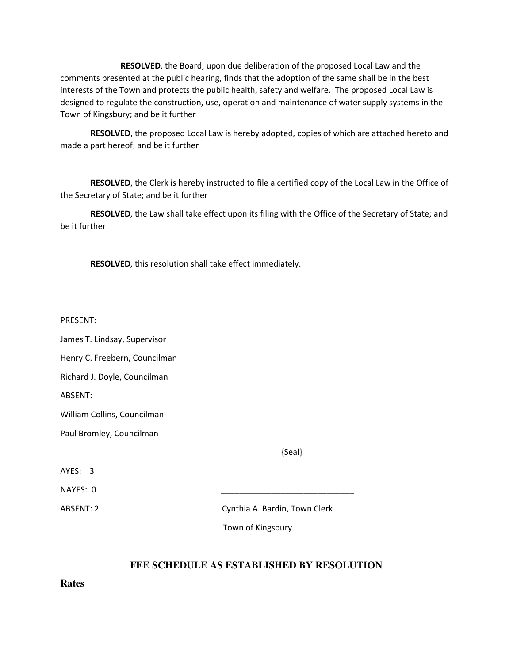**RESOLVED**, the Board, upon due deliberation of the proposed Local Law and the comments presented at the public hearing, finds that the adoption of the same shall be in the best interests of the Town and protects the public health, safety and welfare. The proposed Local Law is designed to regulate the construction, use, operation and maintenance of water supply systems in the Town of Kingsbury; and be it further

**RESOLVED**, the proposed Local Law is hereby adopted, copies of which are attached hereto and made a part hereof; and be it further

**RESOLVED**, the Clerk is hereby instructed to file a certified copy of the Local Law in the Office of the Secretary of State; and be it further

**RESOLVED**, the Law shall take effect upon its filing with the Office of the Secretary of State; and be it further

**RESOLVED**, this resolution shall take effect immediately.

PRESENT:

James T. Lindsay, Supervisor

Henry C. Freebern, Councilman

Richard J. Doyle, Councilman

ABSENT:

William Collins, Councilman

Paul Bromley, Councilman

{Seal}

AYES: 3

NAYES: 0

ABSENT: 2 Cynthia A. Bardin, Town Clerk

Town of Kingsbury

#### **FEE SCHEDULE AS ESTABLISHED BY RESOLUTION**

**Rates**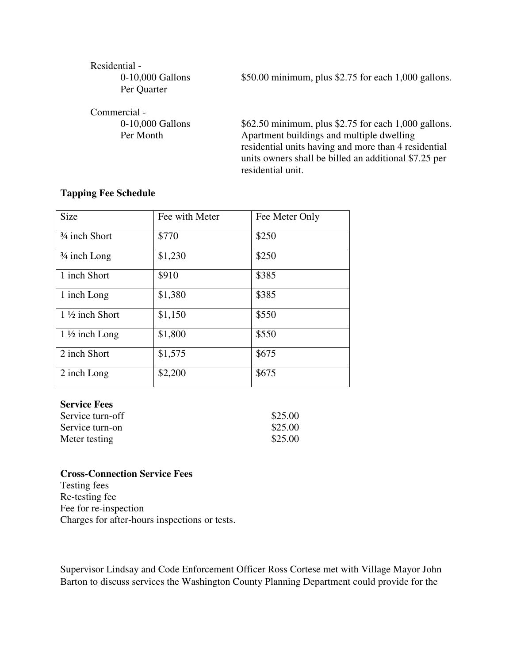# Residential -

0-10,000 Gallons \$50.00 minimum, plus \$2.75 for each 1,000 gallons.

Per Quarter

Commercial -

0-10,000 Gallons \$62.50 minimum, plus \$2.75 for each 1,000 gallons. Per Month Apartment buildings and multiple dwelling residential units having and more than 4 residential units owners shall be billed an additional \$7.25 per residential unit.

## **Tapping Fee Schedule**

| <b>Size</b>                            | Fee with Meter | Fee Meter Only |
|----------------------------------------|----------------|----------------|
| <sup>3</sup> / <sub>4</sub> inch Short | \$770          | \$250          |
| $\frac{3}{4}$ inch Long                | \$1,230        | \$250          |
| 1 inch Short                           | \$910          | \$385          |
| 1 inch Long                            | \$1,380        | \$385          |
| $1\frac{1}{2}$ inch Short              | \$1,150        | \$550          |
| $1\frac{1}{2}$ inch Long               | \$1,800        | \$550          |
| 2 inch Short                           | \$1,575        | \$675          |
| 2 inch Long                            | \$2,200        | \$675          |

#### **Service Fees**

| Service turn-off | \$25.00 |
|------------------|---------|
| Service turn-on  | \$25.00 |
| Meter testing    | \$25.00 |

#### **Cross-Connection Service Fees**

Testing fees Re-testing fee Fee for re-inspection Charges for after-hours inspections or tests.

Supervisor Lindsay and Code Enforcement Officer Ross Cortese met with Village Mayor John Barton to discuss services the Washington County Planning Department could provide for the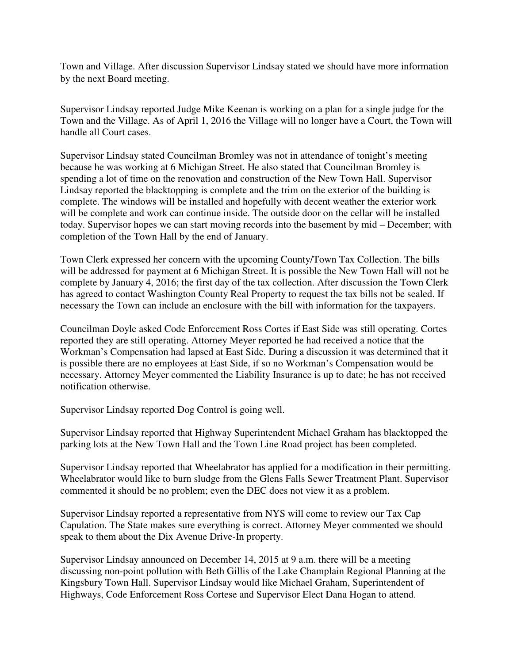Town and Village. After discussion Supervisor Lindsay stated we should have more information by the next Board meeting.

Supervisor Lindsay reported Judge Mike Keenan is working on a plan for a single judge for the Town and the Village. As of April 1, 2016 the Village will no longer have a Court, the Town will handle all Court cases.

Supervisor Lindsay stated Councilman Bromley was not in attendance of tonight's meeting because he was working at 6 Michigan Street. He also stated that Councilman Bromley is spending a lot of time on the renovation and construction of the New Town Hall. Supervisor Lindsay reported the blacktopping is complete and the trim on the exterior of the building is complete. The windows will be installed and hopefully with decent weather the exterior work will be complete and work can continue inside. The outside door on the cellar will be installed today. Supervisor hopes we can start moving records into the basement by mid – December; with completion of the Town Hall by the end of January.

Town Clerk expressed her concern with the upcoming County/Town Tax Collection. The bills will be addressed for payment at 6 Michigan Street. It is possible the New Town Hall will not be complete by January 4, 2016; the first day of the tax collection. After discussion the Town Clerk has agreed to contact Washington County Real Property to request the tax bills not be sealed. If necessary the Town can include an enclosure with the bill with information for the taxpayers.

Councilman Doyle asked Code Enforcement Ross Cortes if East Side was still operating. Cortes reported they are still operating. Attorney Meyer reported he had received a notice that the Workman's Compensation had lapsed at East Side. During a discussion it was determined that it is possible there are no employees at East Side, if so no Workman's Compensation would be necessary. Attorney Meyer commented the Liability Insurance is up to date; he has not received notification otherwise.

Supervisor Lindsay reported Dog Control is going well.

Supervisor Lindsay reported that Highway Superintendent Michael Graham has blacktopped the parking lots at the New Town Hall and the Town Line Road project has been completed.

Supervisor Lindsay reported that Wheelabrator has applied for a modification in their permitting. Wheelabrator would like to burn sludge from the Glens Falls Sewer Treatment Plant. Supervisor commented it should be no problem; even the DEC does not view it as a problem.

Supervisor Lindsay reported a representative from NYS will come to review our Tax Cap Capulation. The State makes sure everything is correct. Attorney Meyer commented we should speak to them about the Dix Avenue Drive-In property.

Supervisor Lindsay announced on December 14, 2015 at 9 a.m. there will be a meeting discussing non-point pollution with Beth Gillis of the Lake Champlain Regional Planning at the Kingsbury Town Hall. Supervisor Lindsay would like Michael Graham, Superintendent of Highways, Code Enforcement Ross Cortese and Supervisor Elect Dana Hogan to attend.